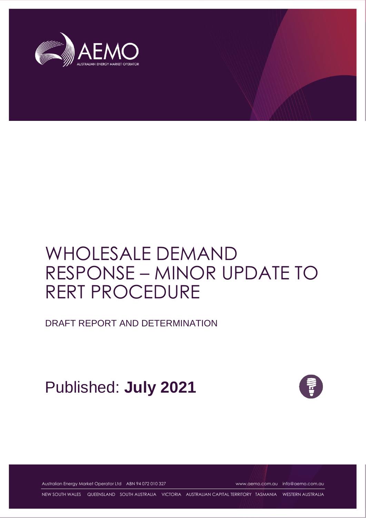

# WHOLESALE DEMAND RESPONSE – MINOR UPDATE TO RERT PROCEDURE

DRAFT REPORT AND DETERMINATION

Published: **July 2021**



Australian Energy Market Operator Ltd ABN 94 072 010 327 [www.aemo.com.au](http://www.aemo.com.au/) [info@aemo.com.au](mailto:info@aemo.com.au)

NEW SOUTH WALES QUEENSLAND SOUTH AUSTRALIA VICTORIA AUSTRALIAN CAPITAL TERRITORY TASMANIA WESTERN AUSTRALIA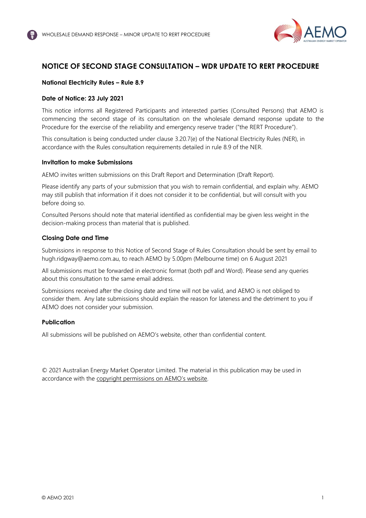

# <span id="page-1-0"></span>**NOTICE OF SECOND STAGE CONSULTATION – WDR UPDATE TO RERT PROCEDURE**

## **National Electricity Rules – Rule 8.9**

## **Date of Notice: 23 July 2021**

This notice informs all Registered Participants and interested parties (Consulted Persons) that AEMO is commencing the second stage of its consultation on the wholesale demand response update to the Procedure for the exercise of the reliability and emergency reserve trader ("the RERT Procedure").

This consultation is being conducted under clause 3.20.7(e) of the National Electricity Rules (NER), in accordance with the Rules consultation requirements detailed in rule 8.9 of the NER.

#### **Invitation to make Submissions**

AEMO invites written submissions on this Draft Report and Determination (Draft Report).

Please identify any parts of your submission that you wish to remain confidential, and explain why. AEMO may still publish that information if it does not consider it to be confidential, but will consult with you before doing so.

Consulted Persons should note that material identified as confidential may be given less weight in the decision-making process than material that is published.

#### **Closing Date and Time**

Submissions in response to this Notice of Second Stage of Rules Consultation should be sent by email to hugh.ridgway@aemo.com.au, to reach AEMO by 5.00pm (Melbourne time) on 6 August 2021

All submissions must be forwarded in electronic format (both pdf and Word). Please send any queries about this consultation to the same email address.

Submissions received after the closing date and time will not be valid, and AEMO is not obliged to consider them. Any late submissions should explain the reason for lateness and the detriment to you if AEMO does not consider your submission.

## **Publication**

All submissions will be published on AEMO's website, other than confidential content.

© 2021 Australian Energy Market Operator Limited. The material in this publication may be used in accordance with the [copyright permissions on](http://aemo.com.au/Privacy_and_Legal_Notices/Copyright_Permissions_Notice) AEMO's website.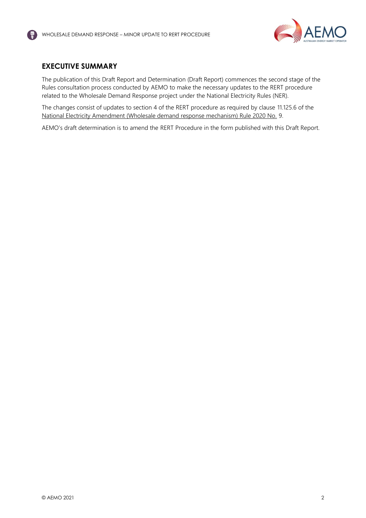

# <span id="page-2-0"></span>**EXECUTIVE SUMMARY**

The publication of this Draft Report and Determination (Draft Report) commences the second stage of the Rules consultation process conducted by AEMO to make the necessary updates to the RERT procedure related to the Wholesale Demand Response project under the National Electricity Rules (NER).

The changes consist of updates to section 4 of the RERT procedure as required by clause 11.125.6 of the [National Electricity Amendment \(Wholesale demand response mechanism\) Rule 2020 No.](https://www.aemc.gov.au/sites/default/files/2020-10/ERC0247%20Published%20rule%20with%20note.pdf) 9.

AEMO's draft determination is to amend the RERT Procedure in the form published with this Draft Report.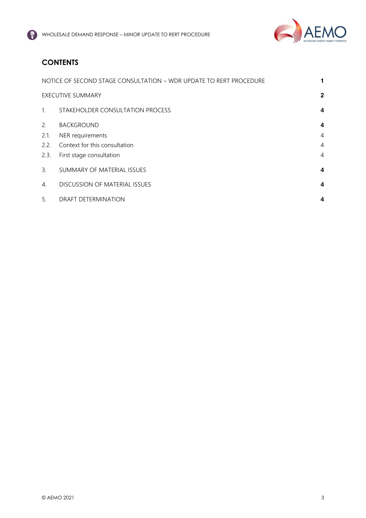

# **CONTENTS**

|                          | NOTICE OF SECOND STAGE CONSULTATION - WDR UPDATE TO RERT PROCEDURE | 1 |
|--------------------------|--------------------------------------------------------------------|---|
| <b>EXECUTIVE SUMMARY</b> |                                                                    |   |
| $1_{\cdot}$              | STAKEHOLDER CONSULTATION PROCESS                                   | 4 |
| 2.                       | <b>BACKGROUND</b>                                                  | 4 |
| 2.1.                     | NER requirements                                                   | 4 |
| 2.2.                     | Context for this consultation                                      | 4 |
| 2.3.                     | First stage consultation                                           | 4 |
| 3.                       | SUMMARY OF MATERIAL ISSUES                                         | 4 |
| $\overline{4}$ .         | <b>DISCUSSION OF MATERIAL ISSUES</b>                               | 4 |
| 5.                       | <b>DRAFT DETERMINATION</b>                                         | 4 |